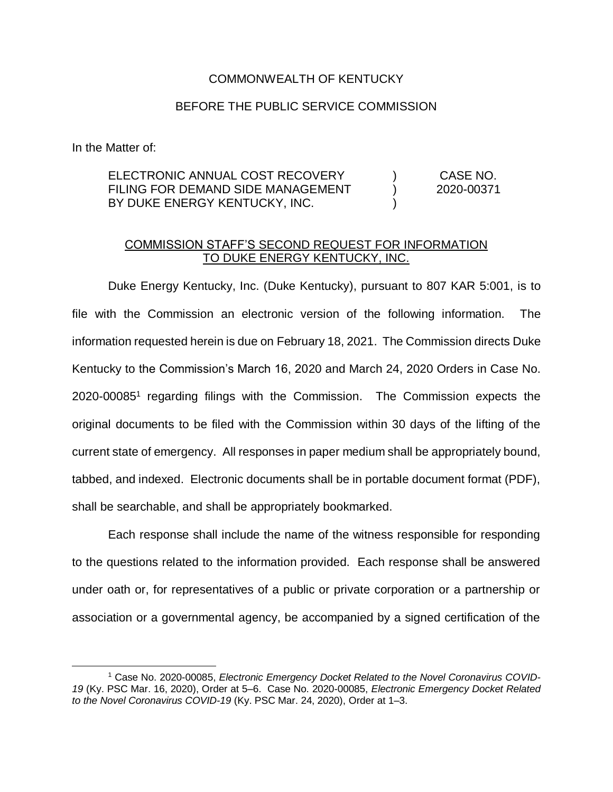## COMMONWEALTH OF KENTUCKY

## BEFORE THE PUBLIC SERVICE COMMISSION

In the Matter of:

 $\overline{a}$ 

## ELECTRONIC ANNUAL COST RECOVERY FILING FOR DEMAND SIDE MANAGEMENT BY DUKE ENERGY KENTUCKY, INC.  $\lambda$  $\lambda$ ) CASE NO. 2020-00371

## COMMISSION STAFF'S SECOND REQUEST FOR INFORMATION TO DUKE ENERGY KENTUCKY, INC.

Duke Energy Kentucky, Inc. (Duke Kentucky), pursuant to 807 KAR 5:001, is to file with the Commission an electronic version of the following information. The information requested herein is due on February 18, 2021. The Commission directs Duke Kentucky to the Commission's March 16, 2020 and March 24, 2020 Orders in Case No. 2020-00085<sup>1</sup> regarding filings with the Commission. The Commission expects the original documents to be filed with the Commission within 30 days of the lifting of the current state of emergency. All responses in paper medium shall be appropriately bound, tabbed, and indexed. Electronic documents shall be in portable document format (PDF), shall be searchable, and shall be appropriately bookmarked.

Each response shall include the name of the witness responsible for responding to the questions related to the information provided. Each response shall be answered under oath or, for representatives of a public or private corporation or a partnership or association or a governmental agency, be accompanied by a signed certification of the

<sup>&</sup>lt;sup>1</sup> Case No. 2020-00085, Electronic Emergency Docket Related to the Novel Coronavirus COVID-*19* (Ky. PSC Mar. 16, 2020), Order at 5–6. Case No. 2020-00085, *Electronic Emergency Docket Related to the Novel Coronavirus COVID-19* (Ky. PSC Mar. 24, 2020), Order at 1–3.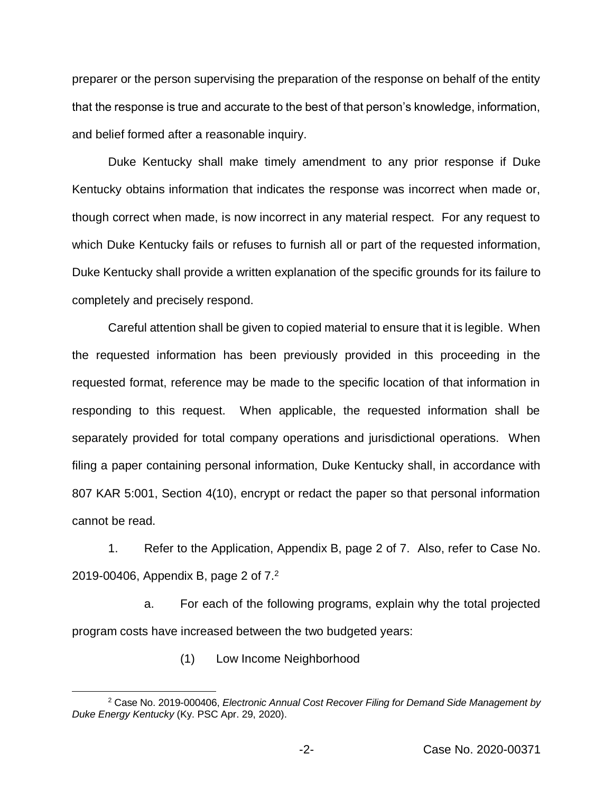preparer or the person supervising the preparation of the response on behalf of the entity that the response is true and accurate to the best of that person's knowledge, information, and belief formed after a reasonable inquiry.

Duke Kentucky shall make timely amendment to any prior response if Duke Kentucky obtains information that indicates the response was incorrect when made or, though correct when made, is now incorrect in any material respect. For any request to which Duke Kentucky fails or refuses to furnish all or part of the requested information, Duke Kentucky shall provide a written explanation of the specific grounds for its failure to completely and precisely respond.

Careful attention shall be given to copied material to ensure that it is legible. When the requested information has been previously provided in this proceeding in the requested format, reference may be made to the specific location of that information in responding to this request. When applicable, the requested information shall be separately provided for total company operations and jurisdictional operations. When filing a paper containing personal information, Duke Kentucky shall, in accordance with 807 KAR 5:001, Section 4(10), encrypt or redact the paper so that personal information cannot be read.

1. Refer to the Application, Appendix B, page 2 of 7. Also, refer to Case No. 2019-00406, Appendix B, page 2 of 7.<sup>2</sup>

a. For each of the following programs, explain why the total projected program costs have increased between the two budgeted years:

(1) Low Income Neighborhood

 $\overline{a}$ 

<sup>2</sup> Case No. 2019-000406, *Electronic Annual Cost Recover Filing for Demand Side Management by Duke Energy Kentucky* (Ky. PSC Apr. 29, 2020).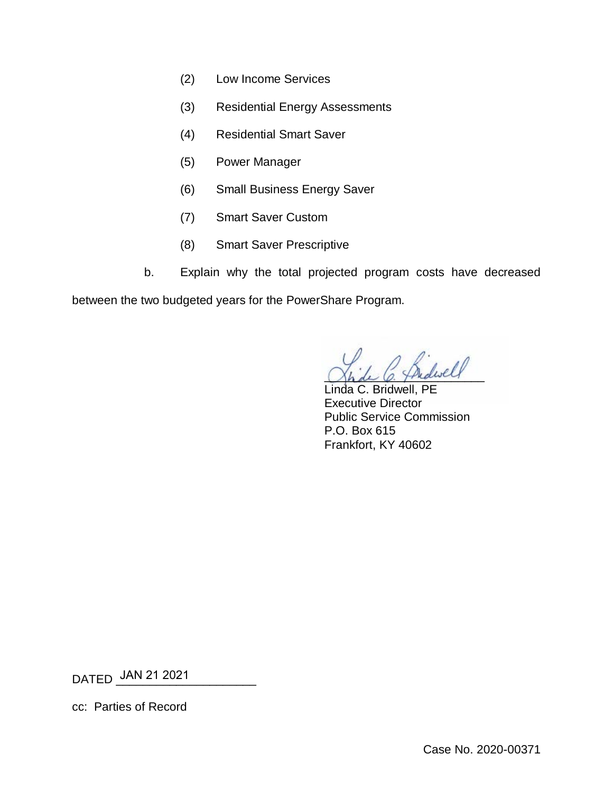- (2) Low Income Services
- (3) Residential Energy Assessments
- (4) Residential Smart Saver
- (5) Power Manager
- (6) Small Business Energy Saver
- (7) Smart Saver Custom
- (8) Smart Saver Prescriptive
- b. Explain why the total projected program costs have decreased

between the two budgeted years for the PowerShare Program.

 $\mathcal{L}\mathcal{L}$ 

Linda C. Bridwell, PE Executive Director Public Service Commission P.O. Box 615 Frankfort, KY 40602

DATED \_\_\_\_\_\_\_\_\_\_\_\_\_\_\_\_\_\_\_\_\_ JAN 21 2021

cc: Parties of Record